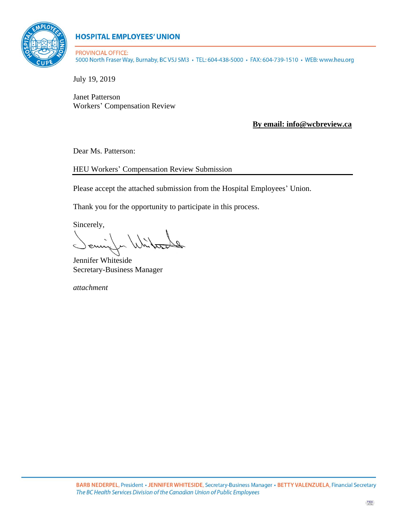

### **HOSPITAL EMPLOYEES' UNION**

**PROVINCIAL OFFICE:** 5000 North Fraser Way, Burnaby, BC V5J 5M3 · TEL: 604-438-5000 · FAX: 604-739-1510 · WEB: www.heu.org

July 19, 2019

Janet Patterson Workers' Compensation Review

**By email: info@wcbreview.ca**

Dear Ms. Patterson:

HEU Workers' Compensation Review Submission

Please accept the attached submission from the Hospital Employees' Union.

Thank you for the opportunity to participate in this process.

Sincerely,

Whites ) ening

Jennifer Whiteside Secretary-Business Manager

*attachment*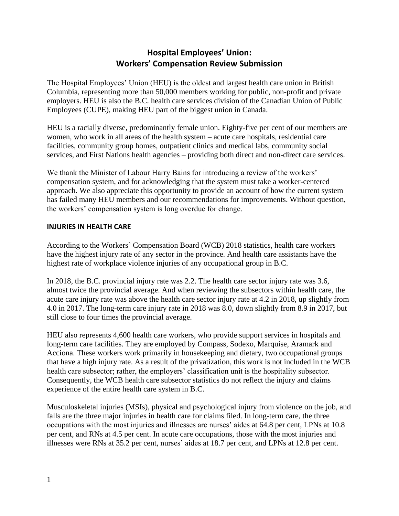### **Hospital Employees' Union: Workers' Compensation Review Submission**

The Hospital Employees' Union (HEU) is the oldest and largest health care union in British Columbia, representing more than 50,000 members working for public, non-profit and private employers. HEU is also the B.C. health care services division of the Canadian Union of Public Employees (CUPE), making HEU part of the biggest union in Canada.

HEU is a racially diverse, predominantly female union. Eighty-five per cent of our members are women, who work in all areas of the health system – acute care hospitals, residential care facilities, community group homes, outpatient clinics and medical labs, community social services, and First Nations health agencies – providing both direct and non-direct care services.

We thank the Minister of Labour Harry Bains for introducing a review of the workers' compensation system, and for acknowledging that the system must take a worker-centered approach. We also appreciate this opportunity to provide an account of how the current system has failed many HEU members and our recommendations for improvements. Without question, the workers' compensation system is long overdue for change.

#### **INJURIES IN HEALTH CARE**

According to the Workers' Compensation Board (WCB) 2018 statistics, health care workers have the highest injury rate of any sector in the province. And health care assistants have the highest rate of workplace violence injuries of any occupational group in B.C.

In 2018, the B.C. provincial injury rate was 2.2. The health care sector injury rate was 3.6, almost twice the provincial average. And when reviewing the subsectors within health care, the acute care injury rate was above the health care sector injury rate at 4.2 in 2018, up slightly from 4.0 in 2017. The long-term care injury rate in 2018 was 8.0, down slightly from 8.9 in 2017, but still close to four times the provincial average.

HEU also represents 4,600 health care workers, who provide support services in hospitals and long-term care facilities. They are employed by Compass, Sodexo, Marquise, Aramark and Acciona. These workers work primarily in housekeeping and dietary, two occupational groups that have a high injury rate. As a result of the privatization, this work is not included in the WCB health care subsector; rather, the employers' classification unit is the hospitality subsector. Consequently, the WCB health care subsector statistics do not reflect the injury and claims experience of the entire health care system in B.C.

Musculoskeletal injuries (MSIs), physical and psychological injury from violence on the job, and falls are the three major injuries in health care for claims filed. In long-term care, the three occupations with the most injuries and illnesses are nurses' aides at 64.8 per cent, LPNs at 10.8 per cent, and RNs at 4.5 per cent. In acute care occupations, those with the most injuries and illnesses were RNs at 35.2 per cent, nurses' aides at 18.7 per cent, and LPNs at 12.8 per cent.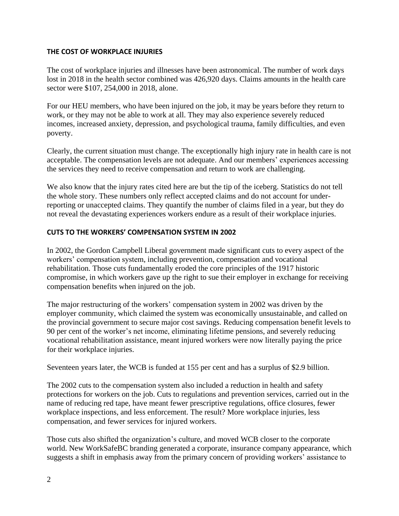#### **THE COST OF WORKPLACE INJURIES**

The cost of workplace injuries and illnesses have been astronomical. The number of work days lost in 2018 in the health sector combined was 426,920 days. Claims amounts in the health care sector were \$107, 254,000 in 2018, alone.

For our HEU members, who have been injured on the job, it may be years before they return to work, or they may not be able to work at all. They may also experience severely reduced incomes, increased anxiety, depression, and psychological trauma, family difficulties, and even poverty.

Clearly, the current situation must change. The exceptionally high injury rate in health care is not acceptable. The compensation levels are not adequate. And our members' experiences accessing the services they need to receive compensation and return to work are challenging.

We also know that the injury rates cited here are but the tip of the iceberg. Statistics do not tell the whole story. These numbers only reflect accepted claims and do not account for underreporting or unaccepted claims. They quantify the number of claims filed in a year, but they do not reveal the devastating experiences workers endure as a result of their workplace injuries.

#### **CUTS TO THE WORKERS' COMPENSATION SYSTEM IN 2002**

In 2002, the Gordon Campbell Liberal government made significant cuts to every aspect of the workers' compensation system, including prevention, compensation and vocational rehabilitation. Those cuts fundamentally eroded the core principles of the 1917 historic compromise, in which workers gave up the right to sue their employer in exchange for receiving compensation benefits when injured on the job.

The major restructuring of the workers' compensation system in 2002 was driven by the employer community, which claimed the system was economically unsustainable, and called on the provincial government to secure major cost savings. Reducing compensation benefit levels to 90 per cent of the worker's net income, eliminating lifetime pensions, and severely reducing vocational rehabilitation assistance, meant injured workers were now literally paying the price for their workplace injuries.

Seventeen years later, the WCB is funded at 155 per cent and has a surplus of \$2.9 billion.

The 2002 cuts to the compensation system also included a reduction in health and safety protections for workers on the job. Cuts to regulations and prevention services, carried out in the name of reducing red tape, have meant fewer prescriptive regulations, office closures, fewer workplace inspections, and less enforcement. The result? More workplace injuries, less compensation, and fewer services for injured workers.

Those cuts also shifted the organization's culture, and moved WCB closer to the corporate world. New WorkSafeBC branding generated a corporate, insurance company appearance, which suggests a shift in emphasis away from the primary concern of providing workers' assistance to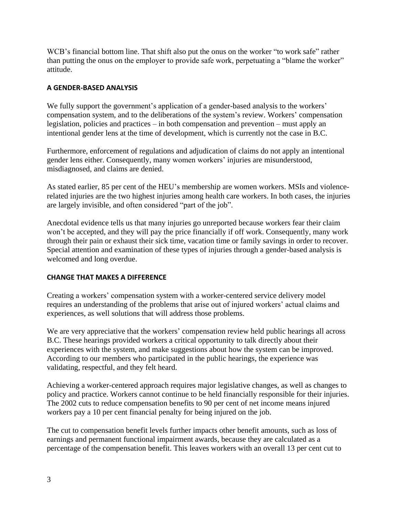WCB's financial bottom line. That shift also put the onus on the worker "to work safe" rather than putting the onus on the employer to provide safe work, perpetuating a "blame the worker" attitude.

#### **A GENDER-BASED ANALYSIS**

We fully support the government's application of a gender-based analysis to the workers' compensation system, and to the deliberations of the system's review. Workers' compensation legislation, policies and practices – in both compensation and prevention – must apply an intentional gender lens at the time of development, which is currently not the case in B.C.

Furthermore, enforcement of regulations and adjudication of claims do not apply an intentional gender lens either. Consequently, many women workers' injuries are misunderstood, misdiagnosed, and claims are denied.

As stated earlier, 85 per cent of the HEU's membership are women workers. MSIs and violencerelated injuries are the two highest injuries among health care workers. In both cases, the injuries are largely invisible, and often considered "part of the job".

Anecdotal evidence tells us that many injuries go unreported because workers fear their claim won't be accepted, and they will pay the price financially if off work. Consequently, many work through their pain or exhaust their sick time, vacation time or family savings in order to recover. Special attention and examination of these types of injuries through a gender-based analysis is welcomed and long overdue.

#### **CHANGE THAT MAKES A DIFFERENCE**

Creating a workers' compensation system with a worker-centered service delivery model requires an understanding of the problems that arise out of injured workers' actual claims and experiences, as well solutions that will address those problems.

We are very appreciative that the workers' compensation review held public hearings all across B.C. These hearings provided workers a critical opportunity to talk directly about their experiences with the system, and make suggestions about how the system can be improved. According to our members who participated in the public hearings, the experience was validating, respectful, and they felt heard.

Achieving a worker-centered approach requires major legislative changes, as well as changes to policy and practice. Workers cannot continue to be held financially responsible for their injuries. The 2002 cuts to reduce compensation benefits to 90 per cent of net income means injured workers pay a 10 per cent financial penalty for being injured on the job.

The cut to compensation benefit levels further impacts other benefit amounts, such as loss of earnings and permanent functional impairment awards, because they are calculated as a percentage of the compensation benefit. This leaves workers with an overall 13 per cent cut to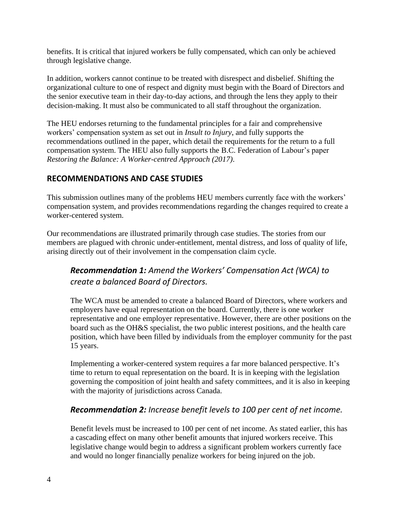benefits. It is critical that injured workers be fully compensated, which can only be achieved through legislative change.

In addition, workers cannot continue to be treated with disrespect and disbelief. Shifting the organizational culture to one of respect and dignity must begin with the Board of Directors and the senior executive team in their day-to-day actions, and through the lens they apply to their decision-making. It must also be communicated to all staff throughout the organization.

The HEU endorses returning to the fundamental principles for a fair and comprehensive workers' compensation system as set out in *Insult to Injury*, and fully supports the recommendations outlined in the paper, which detail the requirements for the return to a full compensation system. The HEU also fully supports the B.C. Federation of Labour's paper *Restoring the Balance: A Worker-centred Approach (2017)*.

### **RECOMMENDATIONS AND CASE STUDIES**

This submission outlines many of the problems HEU members currently face with the workers' compensation system, and provides recommendations regarding the changes required to create a worker-centered system.

Our recommendations are illustrated primarily through case studies. The stories from our members are plagued with chronic under-entitlement, mental distress, and loss of quality of life, arising directly out of their involvement in the compensation claim cycle.

### *Recommendation 1: Amend the Workers' Compensation Act (WCA) to create a balanced Board of Directors.*

The WCA must be amended to create a balanced Board of Directors, where workers and employers have equal representation on the board. Currently, there is one worker representative and one employer representative. However, there are other positions on the board such as the OH&S specialist, the two public interest positions, and the health care position, which have been filled by individuals from the employer community for the past 15 years.

Implementing a worker-centered system requires a far more balanced perspective. It's time to return to equal representation on the board. It is in keeping with the legislation governing the composition of joint health and safety committees, and it is also in keeping with the majority of jurisdictions across Canada.

### *Recommendation 2: Increase benefit levels to 100 per cent of net income.*

Benefit levels must be increased to 100 per cent of net income. As stated earlier, this has a cascading effect on many other benefit amounts that injured workers receive. This legislative change would begin to address a significant problem workers currently face and would no longer financially penalize workers for being injured on the job.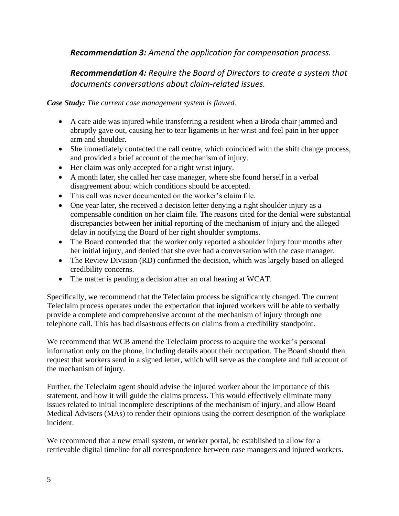### *Recommendation 3: Amend the application for compensation process.*

## *Recommendation 4: Require the Board of Directors to create a system that documents conversations about claim-related issues.*

*Case Study: The current case management system is flawed.*

- A care aide was injured while transferring a resident when a Broda chair jammed and abruptly gave out, causing her to tear ligaments in her wrist and feel pain in her upper arm and shoulder.
- She immediately contacted the call centre, which coincided with the shift change process, and provided a brief account of the mechanism of injury.
- Her claim was only accepted for a right wrist injury.
- A month later, she called her case manager, where she found herself in a verbal disagreement about which conditions should be accepted.
- This call was never documented on the worker's claim file.
- One year later, she received a decision letter denying a right shoulder injury as a compensable condition on her claim file. The reasons cited for the denial were substantial discrepancies between her initial reporting of the mechanism of injury and the alleged delay in notifying the Board of her right shoulder symptoms.
- The Board contended that the worker only reported a shoulder injury four months after her initial injury, and denied that she ever had a conversation with the case manager.
- The Review Division (RD) confirmed the decision, which was largely based on alleged credibility concerns.
- The matter is pending a decision after an oral hearing at WCAT.

Specifically, we recommend that the Teleclaim process be significantly changed. The current Teleclaim process operates under the expectation that injured workers will be able to verbally provide a complete and comprehensive account of the mechanism of injury through one telephone call. This has had disastrous effects on claims from a credibility standpoint.

We recommend that WCB amend the Teleclaim process to acquire the worker's personal information only on the phone, including details about their occupation. The Board should then request that workers send in a signed letter, which will serve as the complete and full account of the mechanism of injury.

Further, the Teleclaim agent should advise the injured worker about the importance of this statement, and how it will guide the claims process. This would effectively eliminate many issues related to initial incomplete descriptions of the mechanism of injury, and allow Board Medical Advisers (MAs) to render their opinions using the correct description of the workplace incident.

We recommend that a new email system, or worker portal, be established to allow for a retrievable digital timeline for all correspondence between case managers and injured workers.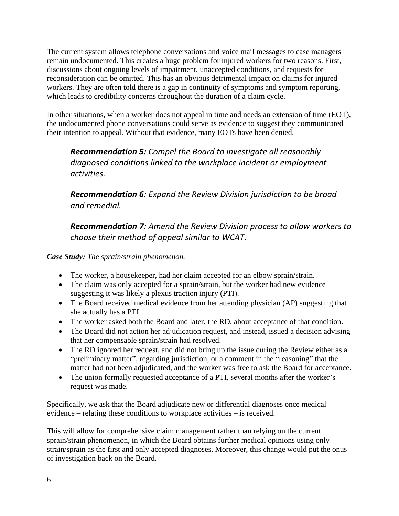The current system allows telephone conversations and voice mail messages to case managers remain undocumented. This creates a huge problem for injured workers for two reasons. First, discussions about ongoing levels of impairment, unaccepted conditions, and requests for reconsideration can be omitted. This has an obvious detrimental impact on claims for injured workers. They are often told there is a gap in continuity of symptoms and symptom reporting, which leads to credibility concerns throughout the duration of a claim cycle.

In other situations, when a worker does not appeal in time and needs an extension of time (EOT), the undocumented phone conversations could serve as evidence to suggest they communicated their intention to appeal. Without that evidence, many EOTs have been denied.

*Recommendation 5: Compel the Board to investigate all reasonably diagnosed conditions linked to the workplace incident or employment activities.* 

*Recommendation 6: Expand the Review Division jurisdiction to be broad and remedial.*

*Recommendation 7: Amend the Review Division process to allow workers to choose their method of appeal similar to WCAT.*

*Case Study: The sprain/strain phenomenon.*

- The worker, a housekeeper, had her claim accepted for an elbow sprain/strain.
- The claim was only accepted for a sprain/strain, but the worker had new evidence suggesting it was likely a plexus traction injury (PTI).
- The Board received medical evidence from her attending physician (AP) suggesting that she actually has a PTI.
- The worker asked both the Board and later, the RD, about acceptance of that condition.
- The Board did not action her adjudication request, and instead, issued a decision advising that her compensable sprain/strain had resolved.
- The RD ignored her request, and did not bring up the issue during the Review either as a "preliminary matter", regarding jurisdiction, or a comment in the "reasoning" that the matter had not been adjudicated, and the worker was free to ask the Board for acceptance.
- The union formally requested acceptance of a PTI, several months after the worker's request was made.

Specifically, we ask that the Board adjudicate new or differential diagnoses once medical evidence – relating these conditions to workplace activities – is received.

This will allow for comprehensive claim management rather than relying on the current sprain/strain phenomenon, in which the Board obtains further medical opinions using only strain/sprain as the first and only accepted diagnoses. Moreover, this change would put the onus of investigation back on the Board.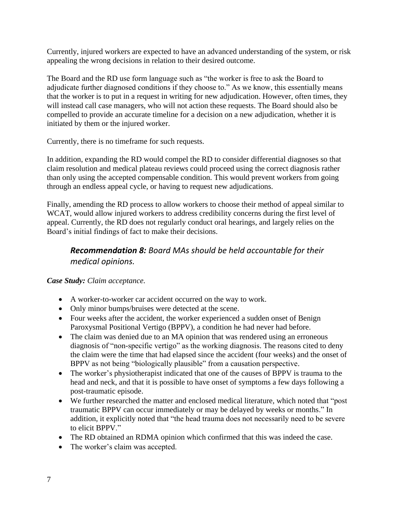Currently, injured workers are expected to have an advanced understanding of the system, or risk appealing the wrong decisions in relation to their desired outcome.

The Board and the RD use form language such as "the worker is free to ask the Board to adjudicate further diagnosed conditions if they choose to." As we know, this essentially means that the worker is to put in a request in writing for new adjudication. However, often times, they will instead call case managers, who will not action these requests. The Board should also be compelled to provide an accurate timeline for a decision on a new adjudication, whether it is initiated by them or the injured worker.

Currently, there is no timeframe for such requests.

In addition, expanding the RD would compel the RD to consider differential diagnoses so that claim resolution and medical plateau reviews could proceed using the correct diagnosis rather than only using the accepted compensable condition. This would prevent workers from going through an endless appeal cycle, or having to request new adjudications.

Finally, amending the RD process to allow workers to choose their method of appeal similar to WCAT, would allow injured workers to address credibility concerns during the first level of appeal. Currently, the RD does not regularly conduct oral hearings, and largely relies on the Board's initial findings of fact to make their decisions.

## *Recommendation 8: Board MAs should be held accountable for their medical opinions.*

*Case Study: Claim acceptance.*

- A worker-to-worker car accident occurred on the way to work.
- Only minor bumps/bruises were detected at the scene.
- Four weeks after the accident, the worker experienced a sudden onset of Benign Paroxysmal Positional Vertigo (BPPV), a condition he had never had before.
- The claim was denied due to an MA opinion that was rendered using an erroneous diagnosis of "non-specific vertigo" as the working diagnosis. The reasons cited to deny the claim were the time that had elapsed since the accident (four weeks) and the onset of BPPV as not being "biologically plausible" from a causation perspective.
- The worker's physiotherapist indicated that one of the causes of BPPV is trauma to the head and neck, and that it is possible to have onset of symptoms a few days following a post-traumatic episode.
- We further researched the matter and enclosed medical literature, which noted that "post traumatic BPPV can occur immediately or may be delayed by weeks or months." In addition, it explicitly noted that "the head trauma does not necessarily need to be severe to elicit BPPV."
- The RD obtained an RDMA opinion which confirmed that this was indeed the case.
- The worker's claim was accepted.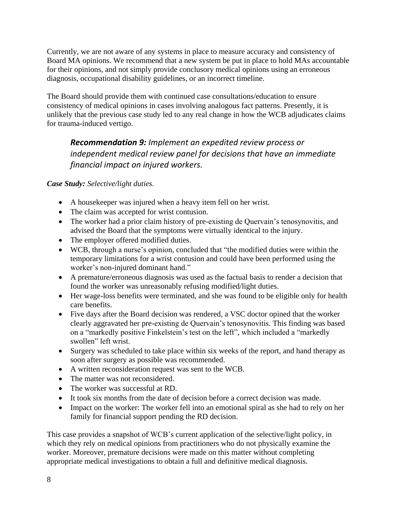Currently, we are not aware of any systems in place to measure accuracy and consistency of Board MA opinions. We recommend that a new system be put in place to hold MAs accountable for their opinions, and not simply provide conclusory medical opinions using an erroneous diagnosis, occupational disability guidelines, or an incorrect timeline.

The Board should provide them with continued case consultations/education to ensure consistency of medical opinions in cases involving analogous fact patterns. Presently, it is unlikely that the previous case study led to any real change in how the WCB adjudicates claims for trauma-induced vertigo.

# *Recommendation 9: Implement an expedited review process or independent medical review panel for decisions that have an immediate financial impact on injured workers.*

*Case Study: Selective/light duties.*

- A housekeeper was injured when a heavy item fell on her wrist.
- The claim was accepted for wrist contusion.
- The worker had a prior claim history of pre-existing de Quervain's tenosynovitis, and advised the Board that the symptoms were virtually identical to the injury.
- The employer offered modified duties.
- WCB, through a nurse's opinion, concluded that "the modified duties were within the temporary limitations for a wrist contusion and could have been performed using the worker's non-injured dominant hand."
- A premature/erroneous diagnosis was used as the factual basis to render a decision that found the worker was unreasonably refusing modified/light duties.
- Her wage-loss benefits were terminated, and she was found to be eligible only for health care benefits.
- Five days after the Board decision was rendered, a VSC doctor opined that the worker clearly aggravated her pre-existing de Quervain's tenosynovitis. This finding was based on a "markedly positive Finkelstein's test on the left", which included a "markedly swollen" left wrist.
- Surgery was scheduled to take place within six weeks of the report, and hand therapy as soon after surgery as possible was recommended.
- A written reconsideration request was sent to the WCB.
- The matter was not reconsidered.
- The worker was successful at RD.
- It took six months from the date of decision before a correct decision was made.
- Impact on the worker: The worker fell into an emotional spiral as she had to rely on her family for financial support pending the RD decision.

This case provides a snapshot of WCB's current application of the selective/light policy, in which they rely on medical opinions from practitioners who do not physically examine the worker. Moreover, premature decisions were made on this matter without completing appropriate medical investigations to obtain a full and definitive medical diagnosis.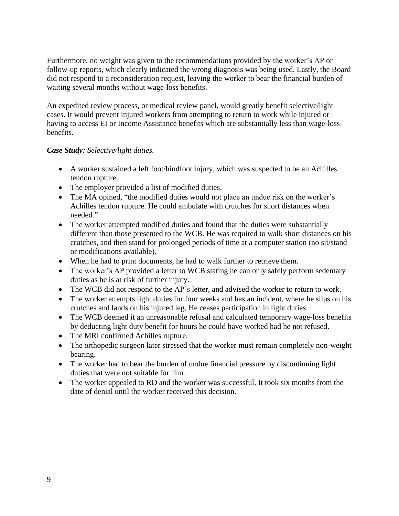Furthermore, no weight was given to the recommendations provided by the worker's AP or follow-up reports, which clearly indicated the wrong diagnosis was being used. Lastly, the Board did not respond to a reconsideration request, leaving the worker to bear the financial burden of waiting several months without wage-loss benefits.

An expedited review process, or medical review panel, would greatly benefit selective/light cases. It would prevent injured workers from attempting to return to work while injured or having to access EI or Income Assistance benefits which are substantially less than wage-loss benefits.

#### *Case Study: Selective/light duties.*

- A worker sustained a left foot/hindfoot injury, which was suspected to be an Achilles tendon rupture.
- The employer provided a list of modified duties.
- The MA opined, "the modified duties would not place an undue risk on the worker's Achilles tendon rupture. He could ambulate with crutches for short distances when needed."
- The worker attempted modified duties and found that the duties were substantially different than those presented to the WCB. He was required to walk short distances on his crutches, and then stand for prolonged periods of time at a computer station (no sit/stand or modifications available).
- When he had to print documents, he had to walk further to retrieve them.
- The worker's AP provided a letter to WCB stating he can only safely perform sedentary duties as he is at risk of further injury.
- The WCB did not respond to the AP's letter, and advised the worker to return to work.
- The worker attempts light duties for four weeks and has an incident, where he slips on his crutches and lands on his injured leg. He ceases participation in light duties.
- The WCB deemed it an unreasonable refusal and calculated temporary wage-loss benefits by deducting light duty benefit for hours he could have worked had he not refused.
- The MRI confirmed Achilles rupture.
- The orthopedic surgeon later stressed that the worker must remain completely non-weight bearing.
- The worker had to bear the burden of undue financial pressure by discontinuing light duties that were not suitable for him.
- The worker appealed to RD and the worker was successful. It took six months from the date of denial until the worker received this decision.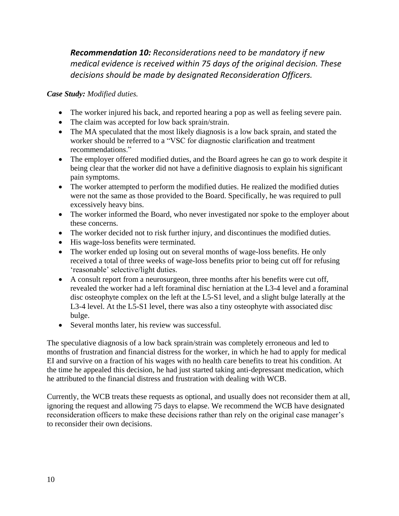*Recommendation 10: Reconsiderations need to be mandatory if new medical evidence is received within 75 days of the original decision. These decisions should be made by designated Reconsideration Officers.*

*Case Study: Modified duties.*

- The worker injured his back, and reported hearing a pop as well as feeling severe pain.
- The claim was accepted for low back sprain/strain.
- The MA speculated that the most likely diagnosis is a low back sprain, and stated the worker should be referred to a "VSC for diagnostic clarification and treatment recommendations."
- The employer offered modified duties, and the Board agrees he can go to work despite it being clear that the worker did not have a definitive diagnosis to explain his significant pain symptoms.
- The worker attempted to perform the modified duties. He realized the modified duties were not the same as those provided to the Board. Specifically, he was required to pull excessively heavy bins.
- The worker informed the Board, who never investigated nor spoke to the employer about these concerns.
- The worker decided not to risk further injury, and discontinues the modified duties.
- His wage-loss benefits were terminated.
- The worker ended up losing out on several months of wage-loss benefits. He only received a total of three weeks of wage-loss benefits prior to being cut off for refusing 'reasonable' selective/light duties.
- A consult report from a neurosurgeon, three months after his benefits were cut off, revealed the worker had a left foraminal disc herniation at the L3-4 level and a foraminal disc osteophyte complex on the left at the L5-S1 level, and a slight bulge laterally at the L3-4 level. At the L5-S1 level, there was also a tiny osteophyte with associated disc bulge.
- Several months later, his review was successful.

The speculative diagnosis of a low back sprain/strain was completely erroneous and led to months of frustration and financial distress for the worker, in which he had to apply for medical EI and survive on a fraction of his wages with no health care benefits to treat his condition. At the time he appealed this decision, he had just started taking anti-depressant medication, which he attributed to the financial distress and frustration with dealing with WCB.

Currently, the WCB treats these requests as optional, and usually does not reconsider them at all, ignoring the request and allowing 75 days to elapse. We recommend the WCB have designated reconsideration officers to make these decisions rather than rely on the original case manager's to reconsider their own decisions.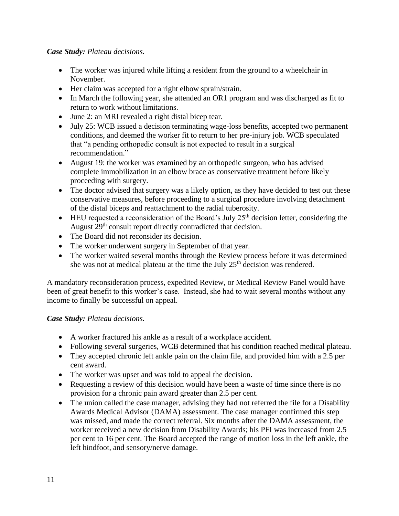#### *Case Study: Plateau decisions.*

- The worker was injured while lifting a resident from the ground to a wheelchair in November.
- Her claim was accepted for a right elbow sprain/strain.
- In March the following year, she attended an OR1 program and was discharged as fit to return to work without limitations.
- June 2: an MRI revealed a right distal bicep tear.
- July 25: WCB issued a decision terminating wage-loss benefits, accepted two permanent conditions, and deemed the worker fit to return to her pre-injury job. WCB speculated that "a pending orthopedic consult is not expected to result in a surgical recommendation."
- August 19: the worker was examined by an orthopedic surgeon, who has advised complete immobilization in an elbow brace as conservative treatment before likely proceeding with surgery.
- The doctor advised that surgery was a likely option, as they have decided to test out these conservative measures, before proceeding to a surgical procedure involving detachment of the distal biceps and reattachment to the radial tuberosity.
- $\bullet$  HEU requested a reconsideration of the Board's July 25<sup>th</sup> decision letter, considering the August 29<sup>th</sup> consult report directly contradicted that decision.
- The Board did not reconsider its decision.
- The worker underwent surgery in September of that year.
- The worker waited several months through the Review process before it was determined she was not at medical plateau at the time the July  $25<sup>th</sup>$  decision was rendered.

A mandatory reconsideration process, expedited Review, or Medical Review Panel would have been of great benefit to this worker's case. Instead, she had to wait several months without any income to finally be successful on appeal.

#### *Case Study: Plateau decisions.*

- A worker fractured his ankle as a result of a workplace accident.
- Following several surgeries, WCB determined that his condition reached medical plateau.
- They accepted chronic left ankle pain on the claim file, and provided him with a 2.5 per cent award.
- The worker was upset and was told to appeal the decision.
- Requesting a review of this decision would have been a waste of time since there is no provision for a chronic pain award greater than 2.5 per cent.
- The union called the case manager, advising they had not referred the file for a Disability Awards Medical Advisor (DAMA) assessment. The case manager confirmed this step was missed, and made the correct referral. Six months after the DAMA assessment, the worker received a new decision from Disability Awards; his PFI was increased from 2.5 per cent to 16 per cent. The Board accepted the range of motion loss in the left ankle, the left hindfoot, and sensory/nerve damage.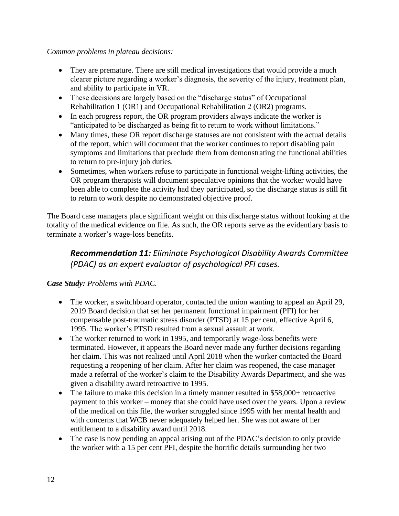#### *Common problems in plateau decisions:*

- They are premature. There are still medical investigations that would provide a much clearer picture regarding a worker's diagnosis, the severity of the injury, treatment plan, and ability to participate in VR.
- These decisions are largely based on the "discharge status" of Occupational Rehabilitation 1 (OR1) and Occupational Rehabilitation 2 (OR2) programs.
- In each progress report, the OR program providers always indicate the worker is "anticipated to be discharged as being fit to return to work without limitations."
- Many times, these OR report discharge statuses are not consistent with the actual details of the report, which will document that the worker continues to report disabling pain symptoms and limitations that preclude them from demonstrating the functional abilities to return to pre-injury job duties.
- Sometimes, when workers refuse to participate in functional weight-lifting activities, the OR program therapists will document speculative opinions that the worker would have been able to complete the activity had they participated, so the discharge status is still fit to return to work despite no demonstrated objective proof.

The Board case managers place significant weight on this discharge status without looking at the totality of the medical evidence on file. As such, the OR reports serve as the evidentiary basis to terminate a worker's wage-loss benefits.

# *Recommendation 11: Eliminate Psychological Disability Awards Committee (PDAC) as an expert evaluator of psychological PFI cases.*

### *Case Study: Problems with PDAC.*

- The worker, a switchboard operator, contacted the union wanting to appeal an April 29, 2019 Board decision that set her permanent functional impairment (PFI) for her compensable post-traumatic stress disorder (PTSD) at 15 per cent, effective April 6, 1995. The worker's PTSD resulted from a sexual assault at work.
- The worker returned to work in 1995, and temporarily wage-loss benefits were terminated. However, it appears the Board never made any further decisions regarding her claim. This was not realized until April 2018 when the worker contacted the Board requesting a reopening of her claim. After her claim was reopened, the case manager made a referral of the worker's claim to the Disability Awards Department, and she was given a disability award retroactive to 1995.
- The failure to make this decision in a timely manner resulted in \$58,000+ retroactive payment to this worker – money that she could have used over the years. Upon a review of the medical on this file, the worker struggled since 1995 with her mental health and with concerns that WCB never adequately helped her. She was not aware of her entitlement to a disability award until 2018.
- The case is now pending an appeal arising out of the PDAC's decision to only provide the worker with a 15 per cent PFI, despite the horrific details surrounding her two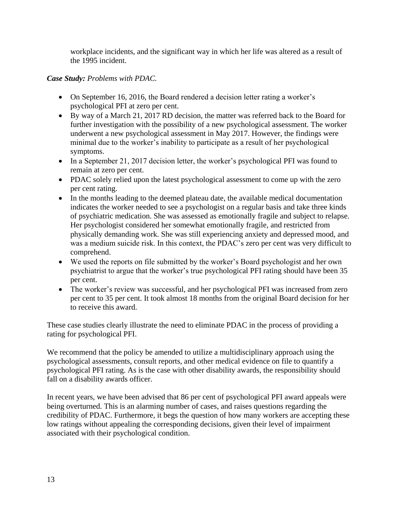workplace incidents, and the significant way in which her life was altered as a result of the 1995 incident.

#### *Case Study: Problems with PDAC.*

- On September 16, 2016, the Board rendered a decision letter rating a worker's psychological PFI at zero per cent.
- By way of a March 21, 2017 RD decision, the matter was referred back to the Board for further investigation with the possibility of a new psychological assessment. The worker underwent a new psychological assessment in May 2017. However, the findings were minimal due to the worker's inability to participate as a result of her psychological symptoms.
- In a September 21, 2017 decision letter, the worker's psychological PFI was found to remain at zero per cent.
- PDAC solely relied upon the latest psychological assessment to come up with the zero per cent rating.
- In the months leading to the deemed plateau date, the available medical documentation indicates the worker needed to see a psychologist on a regular basis and take three kinds of psychiatric medication. She was assessed as emotionally fragile and subject to relapse. Her psychologist considered her somewhat emotionally fragile, and restricted from physically demanding work. She was still experiencing anxiety and depressed mood, and was a medium suicide risk. In this context, the PDAC's zero per cent was very difficult to comprehend.
- We used the reports on file submitted by the worker's Board psychologist and her own psychiatrist to argue that the worker's true psychological PFI rating should have been 35 per cent.
- The worker's review was successful, and her psychological PFI was increased from zero per cent to 35 per cent. It took almost 18 months from the original Board decision for her to receive this award.

These case studies clearly illustrate the need to eliminate PDAC in the process of providing a rating for psychological PFI.

We recommend that the policy be amended to utilize a multidisciplinary approach using the psychological assessments, consult reports, and other medical evidence on file to quantify a psychological PFI rating. As is the case with other disability awards, the responsibility should fall on a disability awards officer.

In recent years, we have been advised that 86 per cent of psychological PFI award appeals were being overturned. This is an alarming number of cases, and raises questions regarding the credibility of PDAC. Furthermore, it begs the question of how many workers are accepting these low ratings without appealing the corresponding decisions, given their level of impairment associated with their psychological condition.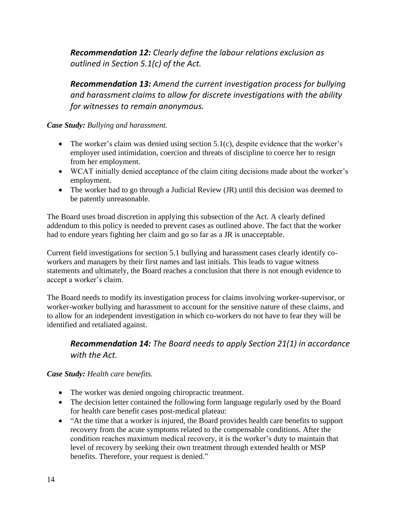*Recommendation 12: Clearly define the labour relations exclusion as outlined in Section 5.1(c) of the Act.* 

*Recommendation 13: Amend the current investigation process for bullying and harassment claims to allow for discrete investigations with the ability for witnesses to remain anonymous.*

*Case Study: Bullying and harassment.*

- $\bullet$  The worker's claim was denied using section 5.1(c), despite evidence that the worker's employer used intimidation, coercion and threats of discipline to coerce her to resign from her employment.
- WCAT initially denied acceptance of the claim citing decisions made about the worker's employment.
- The worker had to go through a Judicial Review (JR) until this decision was deemed to be patently unreasonable.

The Board uses broad discretion in applying this subsection of the Act. A clearly defined addendum to this policy is needed to prevent cases as outlined above. The fact that the worker had to endure years fighting her claim and go so far as a JR is unacceptable.

Current field investigations for section 5.1 bullying and harassment cases clearly identify coworkers and managers by their first names and last initials. This leads to vague witness statements and ultimately, the Board reaches a conclusion that there is not enough evidence to accept a worker's claim.

The Board needs to modify its investigation process for claims involving worker-supervisor, or worker-worker bullying and harassment to account for the sensitive nature of these claims, and to allow for an independent investigation in which co-workers do not have to fear they will be identified and retaliated against.

### *Recommendation 14: The Board needs to apply Section 21(1) in accordance with the Act.*

*Case Study: Health care benefits.*

- The worker was denied ongoing chiropractic treatment.
- The decision letter contained the following form language regularly used by the Board for health care benefit cases post-medical plateau:
- "At the time that a worker is injured, the Board provides health care benefits to support recovery from the acute symptoms related to the compensable conditions. After the condition reaches maximum medical recovery, it is the worker's duty to maintain that level of recovery by seeking their own treatment through extended health or MSP benefits. Therefore, your request is denied."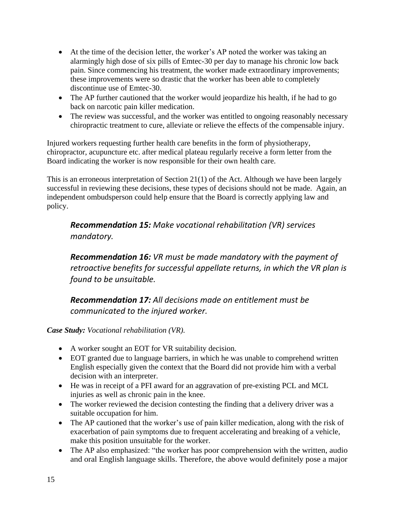- At the time of the decision letter, the worker's AP noted the worker was taking an alarmingly high dose of six pills of Emtec-30 per day to manage his chronic low back pain. Since commencing his treatment, the worker made extraordinary improvements; these improvements were so drastic that the worker has been able to completely discontinue use of Emtec-30.
- The AP further cautioned that the worker would jeopardize his health, if he had to go back on narcotic pain killer medication.
- The review was successful, and the worker was entitled to ongoing reasonably necessary chiropractic treatment to cure, alleviate or relieve the effects of the compensable injury.

Injured workers requesting further health care benefits in the form of physiotherapy, chiropractor, acupuncture etc. after medical plateau regularly receive a form letter from the Board indicating the worker is now responsible for their own health care.

This is an erroneous interpretation of Section 21(1) of the Act. Although we have been largely successful in reviewing these decisions, these types of decisions should not be made. Again, an independent ombudsperson could help ensure that the Board is correctly applying law and policy.

*Recommendation 15: Make vocational rehabilitation (VR) services mandatory.*

*Recommendation 16: VR must be made mandatory with the payment of retroactive benefits for successful appellate returns, in which the VR plan is found to be unsuitable.*

*Recommendation 17: All decisions made on entitlement must be communicated to the injured worker.*

*Case Study: Vocational rehabilitation (VR).*

- A worker sought an EOT for VR suitability decision.
- EOT granted due to language barriers, in which he was unable to comprehend written English especially given the context that the Board did not provide him with a verbal decision with an interpreter.
- He was in receipt of a PFI award for an aggravation of pre-existing PCL and MCL injuries as well as chronic pain in the knee.
- The worker reviewed the decision contesting the finding that a delivery driver was a suitable occupation for him.
- The AP cautioned that the worker's use of pain killer medication, along with the risk of exacerbation of pain symptoms due to frequent accelerating and breaking of a vehicle, make this position unsuitable for the worker.
- The AP also emphasized: "the worker has poor comprehension with the written, audio and oral English language skills. Therefore, the above would definitely pose a major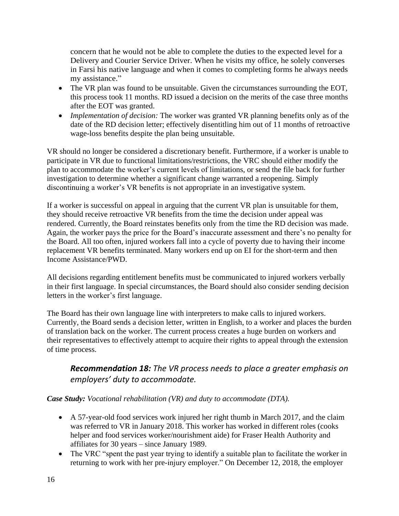concern that he would not be able to complete the duties to the expected level for a Delivery and Courier Service Driver. When he visits my office, he solely converses in Farsi his native language and when it comes to completing forms he always needs my assistance."

- The VR plan was found to be unsuitable. Given the circumstances surrounding the EOT, this process took 11 months. RD issued a decision on the merits of the case three months after the EOT was granted.
- *Implementation of decision:* The worker was granted VR planning benefits only as of the date of the RD decision letter; effectively disentitling him out of 11 months of retroactive wage-loss benefits despite the plan being unsuitable.

VR should no longer be considered a discretionary benefit. Furthermore, if a worker is unable to participate in VR due to functional limitations/restrictions, the VRC should either modify the plan to accommodate the worker's current levels of limitations, or send the file back for further investigation to determine whether a significant change warranted a reopening. Simply discontinuing a worker's VR benefits is not appropriate in an investigative system.

If a worker is successful on appeal in arguing that the current VR plan is unsuitable for them, they should receive retroactive VR benefits from the time the decision under appeal was rendered. Currently, the Board reinstates benefits only from the time the RD decision was made. Again, the worker pays the price for the Board's inaccurate assessment and there's no penalty for the Board. All too often, injured workers fall into a cycle of poverty due to having their income replacement VR benefits terminated. Many workers end up on EI for the short-term and then Income Assistance/PWD.

All decisions regarding entitlement benefits must be communicated to injured workers verbally in their first language. In special circumstances, the Board should also consider sending decision letters in the worker's first language.

The Board has their own language line with interpreters to make calls to injured workers. Currently, the Board sends a decision letter, written in English, to a worker and places the burden of translation back on the worker. The current process creates a huge burden on workers and their representatives to effectively attempt to acquire their rights to appeal through the extension of time process.

### *Recommendation 18: The VR process needs to place a greater emphasis on employers' duty to accommodate.*

### *Case Study: Vocational rehabilitation (VR) and duty to accommodate (DTA).*

- A 57-year-old food services work injured her right thumb in March 2017, and the claim was referred to VR in January 2018. This worker has worked in different roles (cooks helper and food services worker/nourishment aide) for Fraser Health Authority and affiliates for 30 years – since January 1989.
- The VRC "spent the past year trying to identify a suitable plan to facilitate the worker in returning to work with her pre-injury employer." On December 12, 2018, the employer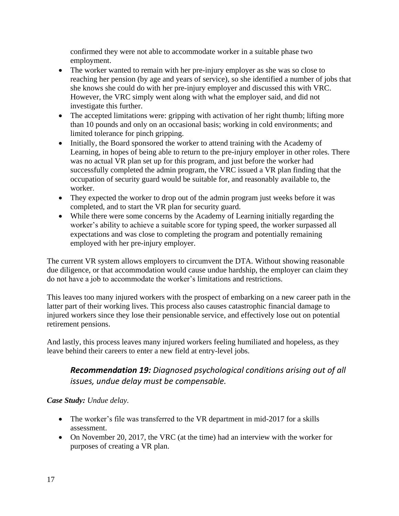confirmed they were not able to accommodate worker in a suitable phase two employment.

- The worker wanted to remain with her pre-injury employer as she was so close to reaching her pension (by age and years of service), so she identified a number of jobs that she knows she could do with her pre-injury employer and discussed this with VRC. However, the VRC simply went along with what the employer said, and did not investigate this further.
- The accepted limitations were: gripping with activation of her right thumb; lifting more than 10 pounds and only on an occasional basis; working in cold environments; and limited tolerance for pinch gripping.
- Initially, the Board sponsored the worker to attend training with the Academy of Learning, in hopes of being able to return to the pre-injury employer in other roles. There was no actual VR plan set up for this program, and just before the worker had successfully completed the admin program, the VRC issued a VR plan finding that the occupation of security guard would be suitable for, and reasonably available to, the worker.
- They expected the worker to drop out of the admin program just weeks before it was completed, and to start the VR plan for security guard.
- While there were some concerns by the Academy of Learning initially regarding the worker's ability to achieve a suitable score for typing speed, the worker surpassed all expectations and was close to completing the program and potentially remaining employed with her pre-injury employer.

The current VR system allows employers to circumvent the DTA. Without showing reasonable due diligence, or that accommodation would cause undue hardship, the employer can claim they do not have a job to accommodate the worker's limitations and restrictions.

This leaves too many injured workers with the prospect of embarking on a new career path in the latter part of their working lives. This process also causes catastrophic financial damage to injured workers since they lose their pensionable service, and effectively lose out on potential retirement pensions.

And lastly, this process leaves many injured workers feeling humiliated and hopeless, as they leave behind their careers to enter a new field at entry-level jobs.

# *Recommendation 19: Diagnosed psychological conditions arising out of all issues, undue delay must be compensable.*

### *Case Study: Undue delay.*

- The worker's file was transferred to the VR department in mid-2017 for a skills assessment.
- On November 20, 2017, the VRC (at the time) had an interview with the worker for purposes of creating a VR plan.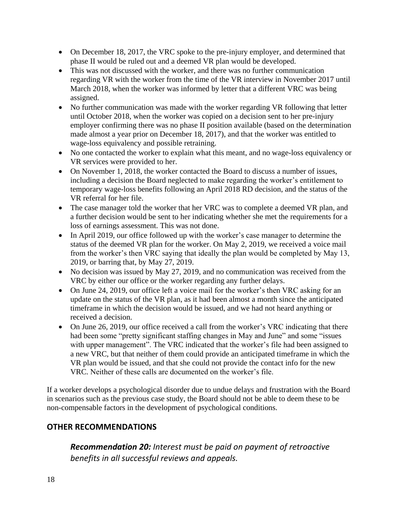- On December 18, 2017, the VRC spoke to the pre-injury employer, and determined that phase II would be ruled out and a deemed VR plan would be developed.
- This was not discussed with the worker, and there was no further communication regarding VR with the worker from the time of the VR interview in November 2017 until March 2018, when the worker was informed by letter that a different VRC was being assigned.
- No further communication was made with the worker regarding VR following that letter until October 2018, when the worker was copied on a decision sent to her pre-injury employer confirming there was no phase II position available (based on the determination made almost a year prior on December 18, 2017), and that the worker was entitled to wage-loss equivalency and possible retraining.
- No one contacted the worker to explain what this meant, and no wage-loss equivalency or VR services were provided to her.
- On November 1, 2018, the worker contacted the Board to discuss a number of issues, including a decision the Board neglected to make regarding the worker's entitlement to temporary wage-loss benefits following an April 2018 RD decision, and the status of the VR referral for her file.
- The case manager told the worker that her VRC was to complete a deemed VR plan, and a further decision would be sent to her indicating whether she met the requirements for a loss of earnings assessment. This was not done.
- In April 2019, our office followed up with the worker's case manager to determine the status of the deemed VR plan for the worker. On May 2, 2019, we received a voice mail from the worker's then VRC saying that ideally the plan would be completed by May 13, 2019, or barring that, by May 27, 2019.
- No decision was issued by May 27, 2019, and no communication was received from the VRC by either our office or the worker regarding any further delays.
- On June 24, 2019, our office left a voice mail for the worker's then VRC asking for an update on the status of the VR plan, as it had been almost a month since the anticipated timeframe in which the decision would be issued, and we had not heard anything or received a decision.
- On June 26, 2019, our office received a call from the worker's VRC indicating that there had been some "pretty significant staffing changes in May and June" and some "issues with upper management". The VRC indicated that the worker's file had been assigned to a new VRC, but that neither of them could provide an anticipated timeframe in which the VR plan would be issued, and that she could not provide the contact info for the new VRC. Neither of these calls are documented on the worker's file.

If a worker develops a psychological disorder due to undue delays and frustration with the Board in scenarios such as the previous case study, the Board should not be able to deem these to be non-compensable factors in the development of psychological conditions.

# **OTHER RECOMMENDATIONS**

*Recommendation 20: Interest must be paid on payment of retroactive benefits in all successful reviews and appeals.*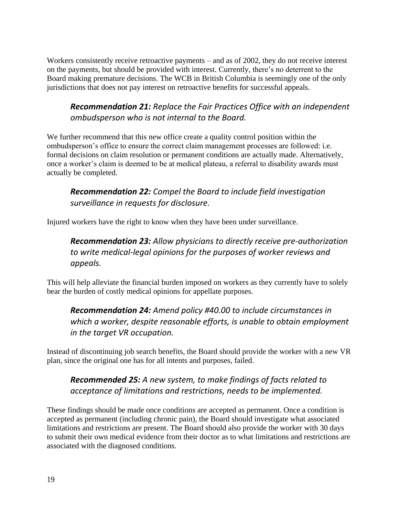Workers consistently receive retroactive payments – and as of 2002, they do not receive interest on the payments, but should be provided with interest. Currently, there's no deterrent to the Board making premature decisions. The WCB in British Columbia is seemingly one of the only jurisdictions that does not pay interest on retroactive benefits for successful appeals.

# *Recommendation 21: Replace the Fair Practices Office with an independent ombudsperson who is not internal to the Board.*

We further recommend that this new office create a quality control position within the ombudsperson's office to ensure the correct claim management processes are followed: i.e. formal decisions on claim resolution or permanent conditions are actually made. Alternatively, once a worker's claim is deemed to be at medical plateau, a referral to disability awards must actually be completed.

*Recommendation 22: Compel the Board to include field investigation surveillance in requests for disclosure.* 

Injured workers have the right to know when they have been under surveillance.

# *Recommendation 23: Allow physicians to directly receive pre-authorization to write medical-legal opinions for the purposes of worker reviews and appeals.*

This will help alleviate the financial burden imposed on workers as they currently have to solely bear the burden of costly medical opinions for appellate purposes.

# *Recommendation 24: Amend policy #40.00 to include circumstances in which a worker, despite reasonable efforts, is unable to obtain employment in the target VR occupation.*

Instead of discontinuing job search benefits, the Board should provide the worker with a new VR plan, since the original one has for all intents and purposes, failed.

# *Recommended 25: A new system, to make findings of facts related to acceptance of limitations and restrictions, needs to be implemented.*

These findings should be made once conditions are accepted as permanent. Once a condition is accepted as permanent (including chronic pain), the Board should investigate what associated limitations and restrictions are present. The Board should also provide the worker with 30 days to submit their own medical evidence from their doctor as to what limitations and restrictions are associated with the diagnosed conditions.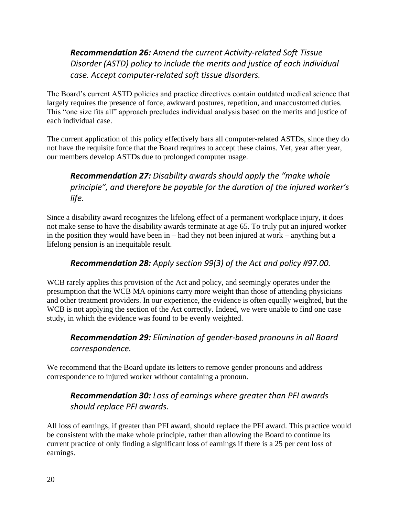# *Recommendation 26: Amend the current Activity-related Soft Tissue Disorder (ASTD) policy to include the merits and justice of each individual case. Accept computer-related soft tissue disorders.*

The Board's current ASTD policies and practice directives contain outdated medical science that largely requires the presence of force, awkward postures, repetition, and unaccustomed duties. This "one size fits all" approach precludes individual analysis based on the merits and justice of each individual case.

The current application of this policy effectively bars all computer-related ASTDs, since they do not have the requisite force that the Board requires to accept these claims. Yet, year after year, our members develop ASTDs due to prolonged computer usage.

# *Recommendation 27: Disability awards should apply the "make whole principle", and therefore be payable for the duration of the injured worker's life.*

Since a disability award recognizes the lifelong effect of a permanent workplace injury, it does not make sense to have the disability awards terminate at age 65. To truly put an injured worker in the position they would have been in – had they not been injured at work – anything but a lifelong pension is an inequitable result.

### *Recommendation 28: Apply section 99(3) of the Act and policy #97.00.*

WCB rarely applies this provision of the Act and policy, and seemingly operates under the presumption that the WCB MA opinions carry more weight than those of attending physicians and other treatment providers. In our experience, the evidence is often equally weighted, but the WCB is not applying the section of the Act correctly. Indeed, we were unable to find one case study, in which the evidence was found to be evenly weighted.

# *Recommendation 29: Elimination of gender-based pronouns in all Board correspondence.*

We recommend that the Board update its letters to remove gender pronouns and address correspondence to injured worker without containing a pronoun.

### *Recommendation 30: Loss of earnings where greater than PFI awards should replace PFI awards.*

All loss of earnings, if greater than PFI award, should replace the PFI award. This practice would be consistent with the make whole principle, rather than allowing the Board to continue its current practice of only finding a significant loss of earnings if there is a 25 per cent loss of earnings.